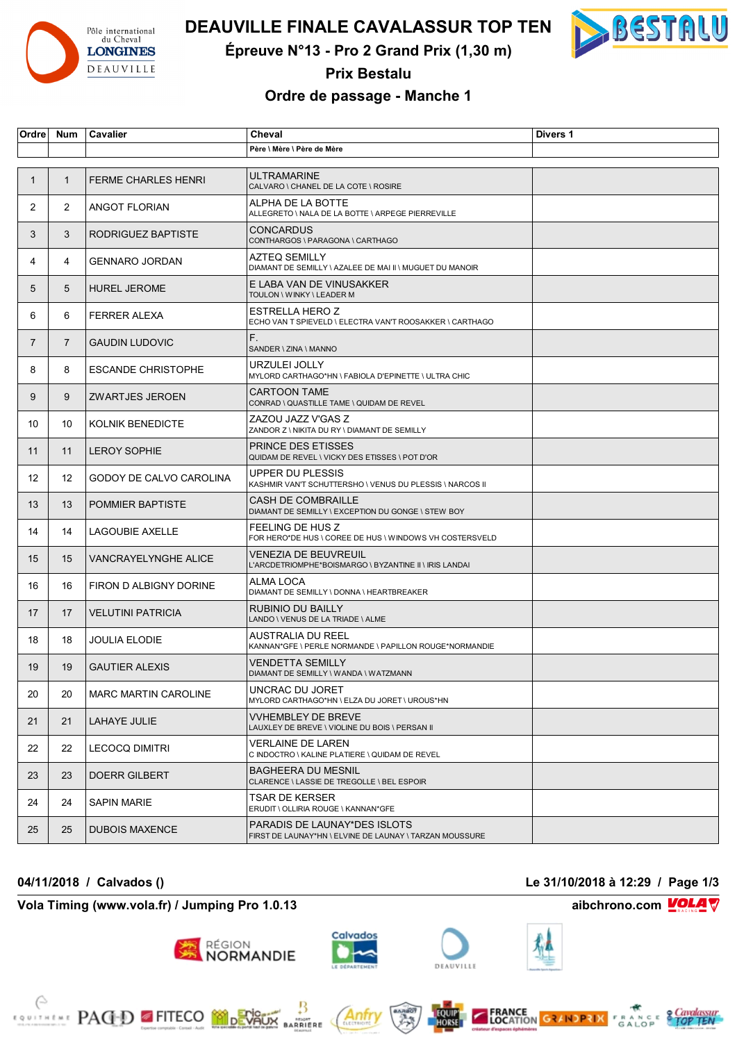

# **DEAUVILLE FINALE CAVALASSUR TOP TEN**



**Épreuve N°13 - Pro 2 Grand Prix (1,30 m)**

**Prix Bestalu**

### **Ordre de passage - Manche 1**

| Ordre          | <b>Num</b>     | Cavalier                    | Cheval                                                                                  | Divers 1 |
|----------------|----------------|-----------------------------|-----------------------------------------------------------------------------------------|----------|
|                |                |                             | Père \ Mère \ Père de Mère                                                              |          |
|                |                |                             |                                                                                         |          |
| -1             | $\mathbf{1}$   | <b>FERME CHARLES HENRI</b>  | ULTRAMARINE<br>CALVARO \ CHANEL DE LA COTE \ ROSIRE                                     |          |
| $\overline{2}$ | 2              | <b>ANGOT FLORIAN</b>        | ALPHA DE LA BOTTE<br>ALLEGRETO \ NALA DE LA BOTTE \ ARPEGE PIERREVILLE                  |          |
| 3              | 3              | RODRIGUEZ BAPTISTE          | <b>CONCARDUS</b><br>CONTHARGOS \ PARAGONA \ CARTHAGO                                    |          |
| 4              | 4              | <b>GENNARO JORDAN</b>       | AZTEQ SEMILLY<br>DIAMANT DE SEMILLY \ AZALEE DE MAI II \ MUGUET DU MANOIR               |          |
| 5              | 5              | <b>HUREL JEROME</b>         | E LABA VAN DE VINUSAKKER<br>TOULON \ WINKY \ LEADER M                                   |          |
| 6              | 6              | <b>FERRER ALEXA</b>         | ESTRELLA HERO Z<br>ECHO VAN T SPIEVELD \ ELECTRA VAN'T ROOSAKKER \ CARTHAGO             |          |
| $\overline{7}$ | $\overline{7}$ | <b>GAUDIN LUDOVIC</b>       | F.<br>SANDER \ ZINA \ MANNO                                                             |          |
| 8              | 8              | <b>ESCANDE CHRISTOPHE</b>   | URZULEI JOLLY<br>MYLORD CARTHAGO*HN \ FABIOLA D'EPINETTE \ ULTRA CHIC                   |          |
| 9              | 9              | <b>ZWARTJES JEROEN</b>      | CARTOON TAME<br>CONRAD \ QUASTILLE TAME \ QUIDAM DE REVEL                               |          |
| 10             | 10             | <b>KOLNIK BENEDICTE</b>     | ZAZOU JAZZ V'GAS Z<br>ZANDOR Z \ NIKITA DU RY \ DIAMANT DE SEMILLY                      |          |
| 11             | 11             | <b>LEROY SOPHIE</b>         | <b>PRINCE DES ETISSES</b><br>QUIDAM DE REVEL \ VICKY DES ETISSES \ POT D'OR             |          |
| 12             | 12             | GODOY DE CALVO CAROLINA     | UPPER DU PLESSIS<br>KASHMIR VAN'T SCHUTTERSHO \ VENUS DU PLESSIS \ NARCOS II            |          |
| 13             | 13             | <b>POMMIER BAPTISTE</b>     | CASH DE COMBRAILLE<br>DIAMANT DE SEMILLY \ EXCEPTION DU GONGE \ STEW BOY                |          |
| 14             | 14             | <b>LAGOUBIE AXELLE</b>      | FEELING DE HUS Z<br>FOR HERO*DE HUS \ COREE DE HUS \ WINDOWS VH COSTERSVELD             |          |
| 15             | 15             | VANCRAYELYNGHE ALICE        | VENEZIA DE BEUVREUIL<br>L'ARCDETRIOMPHE*BOISMARGO \ BYZANTINE II \ IRIS LANDAI          |          |
| 16             | 16             | FIRON D ALBIGNY DORINE      | ALMA LOCA<br>DIAMANT DE SEMILLY \ DONNA \ HEARTBREAKER                                  |          |
| 17             | 17             | <b>VELUTINI PATRICIA</b>    | RUBINIO DU BAILLY<br>LANDO \ VENUS DE LA TRIADE \ ALME                                  |          |
| 18             | 18             | <b>JOULIA ELODIE</b>        | <b>AUSTRALIA DU REEL</b><br>KANNAN*GFE \ PERLE NORMANDE \ PAPILLON ROUGE*NORMANDIE      |          |
| 19             | 19             | <b>GAUTIER ALEXIS</b>       | VENDETTA SEMILLY<br>DIAMANT DE SEMILLY \ WANDA \ WATZMANN                               |          |
| 20             | 20             | <b>MARC MARTIN CAROLINE</b> | UNCRAC DU JORET<br>MYLORD CARTHAGO*HN \ ELZA DU JORET \ UROUS*HN                        |          |
| 21             | 21             | LAHAYE JULIE                | <b>VVHEMBLEY DE BREVE</b><br>LAUXLEY DE BREVE \ VIOLINE DU BOIS \ PERSAN II             |          |
| 22             | 22             | <b>LECOCQ DIMITRI</b>       | VERLAINE DE LAREN<br>C INDOCTRO \ KALINE PLATIERE \ QUIDAM DE REVEL                     |          |
| 23             | 23             | DOERR GILBERT               | <b>BAGHEERA DU MESNIL</b><br>CLARENCE \ LASSIE DE TREGOLLE \ BEL ESPOIR                 |          |
| 24             | 24             | <b>SAPIN MARIE</b>          | TSAR DE KERSER<br>ERUDIT \ OLLIRIA ROUGE \ KANNAN*GFE                                   |          |
| 25             | 25             | <b>DUBOIS MAXENCE</b>       | PARADIS DE LAUNAY*DES ISLOTS<br>FIRST DE LAUNAY*HN \ ELVINE DE LAUNAY \ TARZAN MOUSSURE |          |

**04/11/2018 / Calvados () Le 31/10/2018 à 12:29 / Page 1/3**

**Vola Timing (www.vola.fr) / Jumping Pro 1.0.13 aibchrono.com VOLA** 











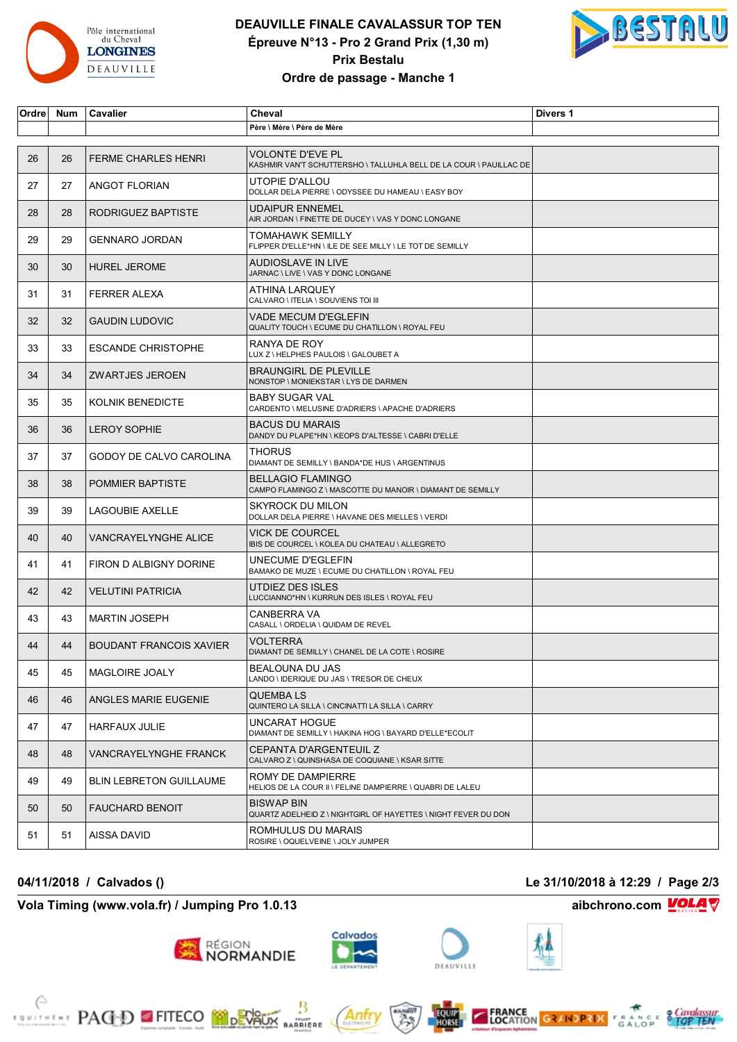

# **DEAUVILLE FINALE CAVALASSUR TOP TEN Épreuve N°13 - Pro 2 Grand Prix (1,30 m) Prix Bestalu Ordre de passage - Manche 1**



| Ordre | Num | Cavalier                       | Cheval                                                                                        | Divers 1 |
|-------|-----|--------------------------------|-----------------------------------------------------------------------------------------------|----------|
|       |     |                                | Père \ Mère \ Père de Mère                                                                    |          |
|       |     |                                |                                                                                               |          |
| 26    | 26  | <b>FERME CHARLES HENRI</b>     | <b>VOLONTE D'EVE PL</b><br>KASHMIR VAN'T SCHUTTERSHO \ TALLUHLA BELL DE LA COUR \ PAUILLAC DE |          |
| 27    | 27  | ANGOT FLORIAN                  | UTOPIE D'ALLOU<br>DOLLAR DELA PIERRE \ ODYSSEE DU HAMEAU \ EASY BOY                           |          |
| 28    | 28  | RODRIGUEZ BAPTISTE             | <b>UDAIPUR ENNEMEL</b><br>AIR JORDAN \ FINETTE DE DUCEY \ VAS Y DONC LONGANE                  |          |
| 29    | 29  | <b>GENNARO JORDAN</b>          | TOMAHAWK SEMILLY<br>FLIPPER D'ELLE*HN \ ILE DE SEE MILLY \ LE TOT DE SEMILLY                  |          |
| 30    | 30  | <b>HUREL JEROME</b>            | AUDIOSLAVE IN LIVE<br>JARNAC \ LIVE \ VAS Y DONC LONGANE                                      |          |
| 31    | 31  | <b>FERRER ALEXA</b>            | ATHINA LARQUEY<br>CALVARO \ ITELIA \ SOUVIENS TOI III                                         |          |
| 32    | 32  | <b>GAUDIN LUDOVIC</b>          | VADE MECUM D'EGLEFIN<br>QUALITY TOUCH \ ECUME DU CHATILLON \ ROYAL FEU                        |          |
| 33    | 33  | <b>ESCANDE CHRISTOPHE</b>      | RANYA DE ROY<br>LUX Z \ HELPHES PAULOIS \ GALOUBET A                                          |          |
| 34    | 34  | <b>ZWARTJES JEROEN</b>         | <b>BRAUNGIRL DE PLEVILLE</b><br>NONSTOP \ MONIEKSTAR \ LYS DE DARMEN                          |          |
| 35    | 35  | KOLNIK BENEDICTE               | <b>BABY SUGAR VAL</b><br>CARDENTO \ MELUSINE D'ADRIERS \ APACHE D'ADRIERS                     |          |
| 36    | 36  | <b>LEROY SOPHIE</b>            | <b>BACUS DU MARAIS</b><br>DANDY DU PLAPE*HN \ KEOPS D'ALTESSE \ CABRI D'ELLE                  |          |
| 37    | 37  | GODOY DE CALVO CAROLINA        | <b>THORUS</b><br>DIAMANT DE SEMILLY \ BANDA*DE HUS \ ARGENTINUS                               |          |
| 38    | 38  | POMMIER BAPTISTE               | <b>BELLAGIO FLAMINGO</b><br>CAMPO FLAMINGO Z \ MASCOTTE DU MANOIR \ DIAMANT DE SEMILLY        |          |
| 39    | 39  | <b>LAGOUBIE AXELLE</b>         | <b>SKYROCK DU MILON</b><br>DOLLAR DELA PIERRE \ HAVANE DES MIELLES \ VERDI                    |          |
| 40    | 40  | VANCRAYELYNGHE ALICE           | <b>VICK DE COURCEL</b><br>IBIS DE COURCEL \ KOLEA DU CHATEAU \ ALLEGRETO                      |          |
| 41    | 41  | FIRON D ALBIGNY DORINE         | UNECUME D'EGLEFIN<br>BAMAKO DE MUZE \ ECUME DU CHATILLON \ ROYAL FEU                          |          |
| 42    | 42  | <b>VELUTINI PATRICIA</b>       | <b>UTDIEZ DES ISLES</b><br>LUCCIANNO*HN \ KURRUN DES ISLES \ ROYAL FEU                        |          |
| 43    | 43  | <b>MARTIN JOSEPH</b>           | CANBERRA VA<br>CASALL \ ORDELIA \ QUIDAM DE REVEL                                             |          |
| 44    | 44  | <b>BOUDANT FRANCOIS XAVIER</b> | VOLTERRA<br>DIAMANT DE SEMILLY \ CHANEL DE LA COTE \ ROSIRE                                   |          |
| 45    | 45  | <b>MAGLOIRE JOALY</b>          | BEALOUNA DU JAS<br>LANDO \ IDERIQUE DU JAS \ TRESOR DE CHEUX                                  |          |
| 46    | 46  | ANGLES MARIE EUGENIE           | QUEMBA LS<br>QUINTERO LA SILLA \ CINCINATTI LA SILLA \ CARRY                                  |          |
| 47    | 47  | <b>HARFAUX JULIE</b>           | UNCARAT HOGUE<br>DIAMANT DE SEMILLY \ HAKINA HOG \ BAYARD D'ELLE*ECOLIT                       |          |
| 48    | 48  | VANCRAYELYNGHE FRANCK          | CEPANTA D'ARGENTEUIL Z<br>CALVARO Z \ QUINSHASA DE COQUIANE \ KSAR SITTE                      |          |
| 49    | 49  | <b>BLIN LEBRETON GUILLAUME</b> | ROMY DE DAMPIERRE<br>HELIOS DE LA COUR II \ FELINE DAMPIERRE \ QUABRI DE LALEU                |          |
| 50    | 50  | <b>FAUCHARD BENOIT</b>         | <b>BISWAP BIN</b><br>QUARTZ ADELHEID Z \ NIGHTGIRL OF HAYETTES \ NIGHT FEVER DU DON           |          |
| 51    | 51  | AISSA DAVID                    | ROMHULUS DU MARAIS<br>ROSIRE \ OQUELVEINE \ JOLY JUMPER                                       |          |

# **Vola Timing (www.vola.fr) / Jumping Pro 1.0.13 aibchrono.com** ■ aibchrono.com

**EXAMPLE PACED FITECO MODEVALLE** 



**FRANCE GRANDPRIX FRANCE CONTROL** 





Antr

₿

**BARRIERE**